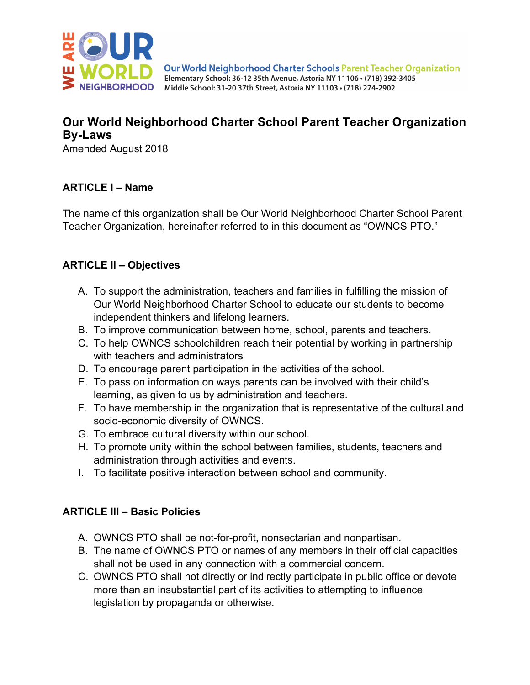

# **Our World Neighborhood Charter School Parent Teacher Organization By-Laws**

Amended August 2018

### **ARTICLE I – Name**

The name of this organization shall be Our World Neighborhood Charter School Parent Teacher Organization, hereinafter referred to in this document as "OWNCS PTO."

#### **ARTICLE II – Objectives**

- A. To support the administration, teachers and families in fulfilling the mission of Our World Neighborhood Charter School to educate our students to become independent thinkers and lifelong learners.
- B. To improve communication between home, school, parents and teachers.
- C. To help OWNCS schoolchildren reach their potential by working in partnership with teachers and administrators
- D. To encourage parent participation in the activities of the school.
- E. To pass on information on ways parents can be involved with their child's learning, as given to us by administration and teachers.
- F. To have membership in the organization that is representative of the cultural and socio-economic diversity of OWNCS.
- G. To embrace cultural diversity within our school.
- H. To promote unity within the school between families, students, teachers and administration through activities and events.
- I. To facilitate positive interaction between school and community.

#### **ARTICLE III – Basic Policies**

- A. OWNCS PTO shall be not-for-profit, nonsectarian and nonpartisan.
- B. The name of OWNCS PTO or names of any members in their official capacities shall not be used in any connection with a commercial concern.
- C. OWNCS PTO shall not directly or indirectly participate in public office or devote more than an insubstantial part of its activities to attempting to influence legislation by propaganda or otherwise.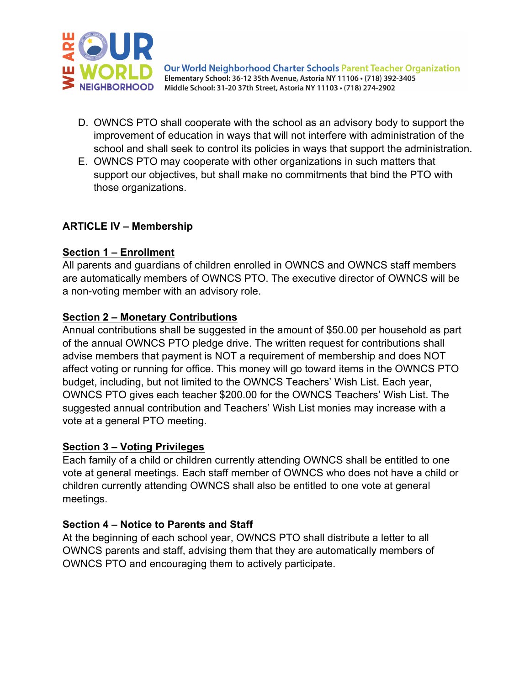

- D. OWNCS PTO shall cooperate with the school as an advisory body to support the improvement of education in ways that will not interfere with administration of the school and shall seek to control its policies in ways that support the administration.
- E. OWNCS PTO may cooperate with other organizations in such matters that support our objectives, but shall make no commitments that bind the PTO with those organizations.

### **ARTICLE IV – Membership**

#### **Section 1 – Enrollment**

All parents and guardians of children enrolled in OWNCS and OWNCS staff members are automatically members of OWNCS PTO. The executive director of OWNCS will be a non-voting member with an advisory role.

### **Section 2 – Monetary Contributions**

Annual contributions shall be suggested in the amount of \$50.00 per household as part of the annual OWNCS PTO pledge drive. The written request for contributions shall advise members that payment is NOT a requirement of membership and does NOT affect voting or running for office. This money will go toward items in the OWNCS PTO budget, including, but not limited to the OWNCS Teachers' Wish List. Each year, OWNCS PTO gives each teacher \$200.00 for the OWNCS Teachers' Wish List. The suggested annual contribution and Teachers' Wish List monies may increase with a vote at a general PTO meeting.

#### **Section 3 – Voting Privileges**

Each family of a child or children currently attending OWNCS shall be entitled to one vote at general meetings. Each staff member of OWNCS who does not have a child or children currently attending OWNCS shall also be entitled to one vote at general meetings.

#### **Section 4 – Notice to Parents and Staff**

At the beginning of each school year, OWNCS PTO shall distribute a letter to all OWNCS parents and staff, advising them that they are automatically members of OWNCS PTO and encouraging them to actively participate.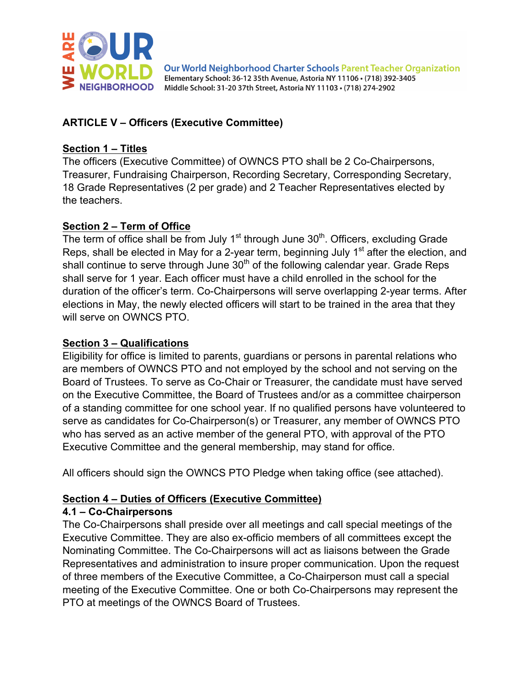

## **ARTICLE V – Officers (Executive Committee)**

#### **Section 1 – Titles**

The officers (Executive Committee) of OWNCS PTO shall be 2 Co-Chairpersons, Treasurer, Fundraising Chairperson, Recording Secretary, Corresponding Secretary, 18 Grade Representatives (2 per grade) and 2 Teacher Representatives elected by the teachers.

#### **Section 2 – Term of Office**

The term of office shall be from July  $1<sup>st</sup>$  through June  $30<sup>th</sup>$ . Officers, excluding Grade Reps, shall be elected in May for a 2-year term, beginning July 1<sup>st</sup> after the election, and shall continue to serve through June  $30<sup>th</sup>$  of the following calendar year. Grade Reps shall serve for 1 year. Each officer must have a child enrolled in the school for the duration of the officer's term. Co-Chairpersons will serve overlapping 2-year terms. After elections in May, the newly elected officers will start to be trained in the area that they will serve on OWNCS PTO.

#### **Section 3 – Qualifications**

Eligibility for office is limited to parents, guardians or persons in parental relations who are members of OWNCS PTO and not employed by the school and not serving on the Board of Trustees. To serve as Co-Chair or Treasurer, the candidate must have served on the Executive Committee, the Board of Trustees and/or as a committee chairperson of a standing committee for one school year. If no qualified persons have volunteered to serve as candidates for Co-Chairperson(s) or Treasurer, any member of OWNCS PTO who has served as an active member of the general PTO, with approval of the PTO Executive Committee and the general membership, may stand for office.

All officers should sign the OWNCS PTO Pledge when taking office (see attached).

#### **Section 4 – Duties of Officers (Executive Committee)**

#### **4.1 – Co-Chairpersons**

The Co-Chairpersons shall preside over all meetings and call special meetings of the Executive Committee. They are also ex-officio members of all committees except the Nominating Committee. The Co-Chairpersons will act as liaisons between the Grade Representatives and administration to insure proper communication. Upon the request of three members of the Executive Committee, a Co-Chairperson must call a special meeting of the Executive Committee. One or both Co-Chairpersons may represent the PTO at meetings of the OWNCS Board of Trustees.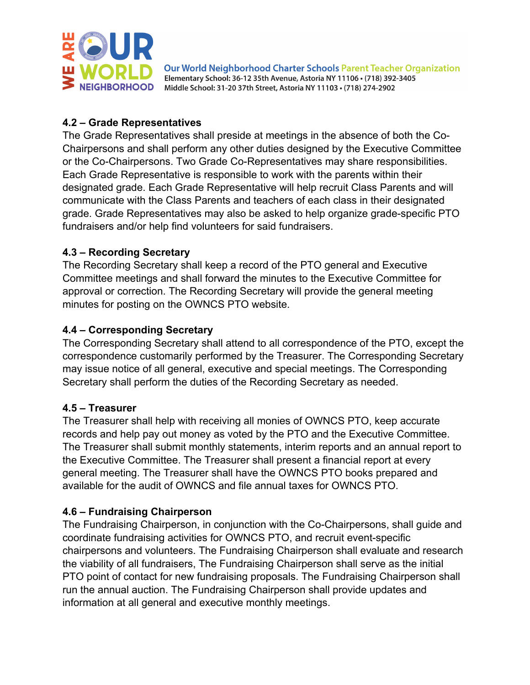

### **4.2 – Grade Representatives**

The Grade Representatives shall preside at meetings in the absence of both the Co-Chairpersons and shall perform any other duties designed by the Executive Committee or the Co-Chairpersons. Two Grade Co-Representatives may share responsibilities. Each Grade Representative is responsible to work with the parents within their designated grade. Each Grade Representative will help recruit Class Parents and will communicate with the Class Parents and teachers of each class in their designated grade. Grade Representatives may also be asked to help organize grade-specific PTO fundraisers and/or help find volunteers for said fundraisers.

### **4.3 – Recording Secretary**

The Recording Secretary shall keep a record of the PTO general and Executive Committee meetings and shall forward the minutes to the Executive Committee for approval or correction. The Recording Secretary will provide the general meeting minutes for posting on the OWNCS PTO website.

### **4.4 – Corresponding Secretary**

The Corresponding Secretary shall attend to all correspondence of the PTO, except the correspondence customarily performed by the Treasurer. The Corresponding Secretary may issue notice of all general, executive and special meetings. The Corresponding Secretary shall perform the duties of the Recording Secretary as needed.

#### **4.5 – Treasurer**

The Treasurer shall help with receiving all monies of OWNCS PTO, keep accurate records and help pay out money as voted by the PTO and the Executive Committee. The Treasurer shall submit monthly statements, interim reports and an annual report to the Executive Committee. The Treasurer shall present a financial report at every general meeting. The Treasurer shall have the OWNCS PTO books prepared and available for the audit of OWNCS and file annual taxes for OWNCS PTO.

## **4.6 – Fundraising Chairperson**

The Fundraising Chairperson, in conjunction with the Co-Chairpersons, shall guide and coordinate fundraising activities for OWNCS PTO, and recruit event-specific chairpersons and volunteers. The Fundraising Chairperson shall evaluate and research the viability of all fundraisers, The Fundraising Chairperson shall serve as the initial PTO point of contact for new fundraising proposals. The Fundraising Chairperson shall run the annual auction. The Fundraising Chairperson shall provide updates and information at all general and executive monthly meetings.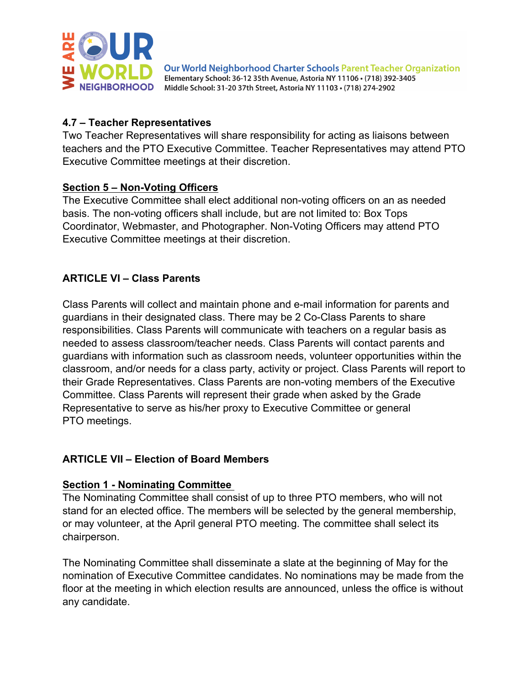

#### **4.7 – Teacher Representatives**

Two Teacher Representatives will share responsibility for acting as liaisons between teachers and the PTO Executive Committee. Teacher Representatives may attend PTO Executive Committee meetings at their discretion.

### **Section 5 – Non-Voting Officers**

The Executive Committee shall elect additional non-voting officers on an as needed basis. The non-voting officers shall include, but are not limited to: Box Tops Coordinator, Webmaster, and Photographer. Non-Voting Officers may attend PTO Executive Committee meetings at their discretion.

## **ARTICLE VI – Class Parents**

Class Parents will collect and maintain phone and e-mail information for parents and guardians in their designated class. There may be 2 Co-Class Parents to share responsibilities. Class Parents will communicate with teachers on a regular basis as needed to assess classroom/teacher needs. Class Parents will contact parents and guardians with information such as classroom needs, volunteer opportunities within the classroom, and/or needs for a class party, activity or project. Class Parents will report to their Grade Representatives. Class Parents are non-voting members of the Executive Committee. Class Parents will represent their grade when asked by the Grade Representative to serve as his/her proxy to Executive Committee or general PTO meetings.

## **ARTICLE VII – Election of Board Members**

#### **Section 1 - Nominating Committee**

The Nominating Committee shall consist of up to three PTO members, who will not stand for an elected office. The members will be selected by the general membership, or may volunteer, at the April general PTO meeting. The committee shall select its chairperson.

The Nominating Committee shall disseminate a slate at the beginning of May for the nomination of Executive Committee candidates. No nominations may be made from the floor at the meeting in which election results are announced, unless the office is without any candidate.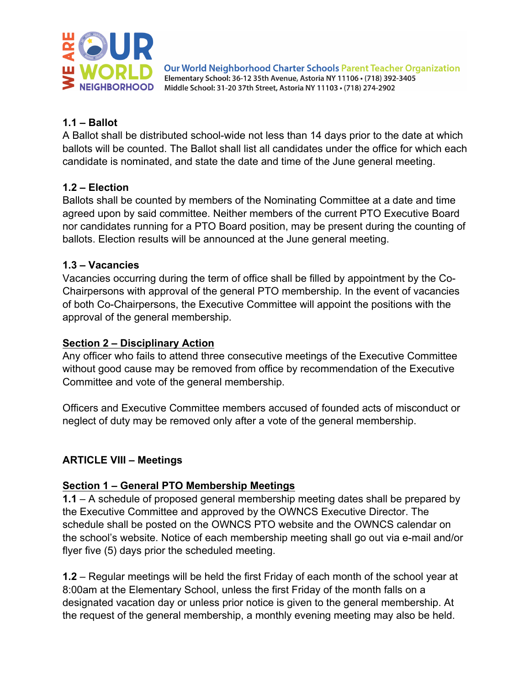

### **1.1 – Ballot**

A Ballot shall be distributed school-wide not less than 14 days prior to the date at which ballots will be counted. The Ballot shall list all candidates under the office for which each candidate is nominated, and state the date and time of the June general meeting.

#### **1.2 – Election**

Ballots shall be counted by members of the Nominating Committee at a date and time agreed upon by said committee. Neither members of the current PTO Executive Board nor candidates running for a PTO Board position, may be present during the counting of ballots. Election results will be announced at the June general meeting.

#### **1.3 – Vacancies**

Vacancies occurring during the term of office shall be filled by appointment by the Co-Chairpersons with approval of the general PTO membership. In the event of vacancies of both Co-Chairpersons, the Executive Committee will appoint the positions with the approval of the general membership.

#### **Section 2 – Disciplinary Action**

Any officer who fails to attend three consecutive meetings of the Executive Committee without good cause may be removed from office by recommendation of the Executive Committee and vote of the general membership.

Officers and Executive Committee members accused of founded acts of misconduct or neglect of duty may be removed only after a vote of the general membership.

## **ARTICLE VIII – Meetings**

#### **Section 1 – General PTO Membership Meetings**

**1.1** – A schedule of proposed general membership meeting dates shall be prepared by the Executive Committee and approved by the OWNCS Executive Director. The schedule shall be posted on the OWNCS PTO website and the OWNCS calendar on the school's website. Notice of each membership meeting shall go out via e-mail and/or flyer five (5) days prior the scheduled meeting.

**1.2** – Regular meetings will be held the first Friday of each month of the school year at 8:00am at the Elementary School, unless the first Friday of the month falls on a designated vacation day or unless prior notice is given to the general membership. At the request of the general membership, a monthly evening meeting may also be held.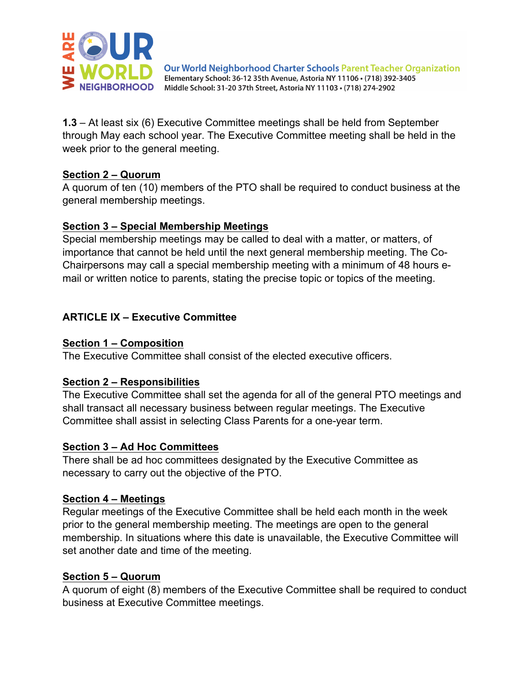

**1.3** – At least six (6) Executive Committee meetings shall be held from September through May each school year. The Executive Committee meeting shall be held in the week prior to the general meeting.

#### **Section 2 – Quorum**

A quorum of ten (10) members of the PTO shall be required to conduct business at the general membership meetings.

### **Section 3 – Special Membership Meetings**

Special membership meetings may be called to deal with a matter, or matters, of importance that cannot be held until the next general membership meeting. The Co-Chairpersons may call a special membership meeting with a minimum of 48 hours email or written notice to parents, stating the precise topic or topics of the meeting.

## **ARTICLE IX – Executive Committee**

### **Section 1 – Composition**

The Executive Committee shall consist of the elected executive officers.

## **Section 2 – Responsibilities**

The Executive Committee shall set the agenda for all of the general PTO meetings and shall transact all necessary business between regular meetings. The Executive Committee shall assist in selecting Class Parents for a one-year term.

#### **Section 3 – Ad Hoc Committees**

There shall be ad hoc committees designated by the Executive Committee as necessary to carry out the objective of the PTO.

## **Section 4 – Meetings**

Regular meetings of the Executive Committee shall be held each month in the week prior to the general membership meeting. The meetings are open to the general membership. In situations where this date is unavailable, the Executive Committee will set another date and time of the meeting.

## **Section 5 – Quorum**

A quorum of eight (8) members of the Executive Committee shall be required to conduct business at Executive Committee meetings.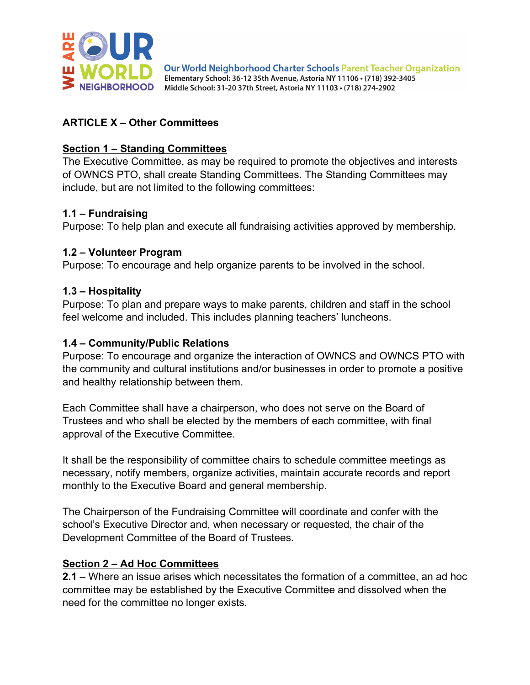

## **ARTICLE X – Other Committees**

#### **Section 1 – Standing Committees**

The Executive Committee, as may be required to promote the objectives and interests of OWNCS PTO, shall create Standing Committees. The Standing Committees may include, but are not limited to the following committees:

#### **1.1 – Fundraising**

Purpose: To help plan and execute all fundraising activities approved by membership.

#### **1.2 – Volunteer Program**

Purpose: To encourage and help organize parents to be involved in the school.

#### **1.3 – Hospitality**

Purpose: To plan and prepare ways to make parents, children and staff in the school feel welcome and included. This includes planning teachers' luncheons.

#### **1.4 – Community/Public Relations**

Purpose: To encourage and organize the interaction of OWNCS and OWNCS PTO with the community and cultural institutions and/or businesses in order to promote a positive and healthy relationship between them.

Each Committee shall have a chairperson, who does not serve on the Board of Trustees and who shall be elected by the members of each committee, with final approval of the Executive Committee.

It shall be the responsibility of committee chairs to schedule committee meetings as necessary, notify members, organize activities, maintain accurate records and report monthly to the Executive Board and general membership.

The Chairperson of the Fundraising Committee will coordinate and confer with the school's Executive Director and, when necessary or requested, the chair of the Development Committee of the Board of Trustees.

#### **Section 2 – Ad Hoc Committees**

**2.1** – Where an issue arises which necessitates the formation of a committee, an ad hoc committee may be established by the Executive Committee and dissolved when the need for the committee no longer exists.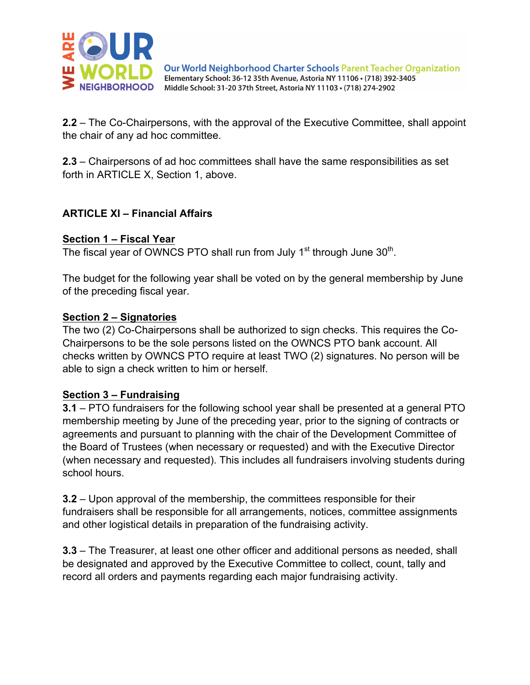

**2.2** – The Co-Chairpersons, with the approval of the Executive Committee, shall appoint the chair of any ad hoc committee.

**2.3** – Chairpersons of ad hoc committees shall have the same responsibilities as set forth in ARTICLE X, Section 1, above.

### **ARTICLE XI – Financial Affairs**

#### **Section 1 – Fiscal Year**

The fiscal year of OWNCS PTO shall run from July  $1<sup>st</sup>$  through June  $30<sup>th</sup>$ .

The budget for the following year shall be voted on by the general membership by June of the preceding fiscal year.

#### **Section 2 – Signatories**

The two (2) Co-Chairpersons shall be authorized to sign checks. This requires the Co-Chairpersons to be the sole persons listed on the OWNCS PTO bank account. All checks written by OWNCS PTO require at least TWO (2) signatures. No person will be able to sign a check written to him or herself.

#### **Section 3 – Fundraising**

**3.1** – PTO fundraisers for the following school year shall be presented at a general PTO membership meeting by June of the preceding year, prior to the signing of contracts or agreements and pursuant to planning with the chair of the Development Committee of the Board of Trustees (when necessary or requested) and with the Executive Director (when necessary and requested). This includes all fundraisers involving students during school hours.

**3.2** – Upon approval of the membership, the committees responsible for their fundraisers shall be responsible for all arrangements, notices, committee assignments and other logistical details in preparation of the fundraising activity.

**3.3** – The Treasurer, at least one other officer and additional persons as needed, shall be designated and approved by the Executive Committee to collect, count, tally and record all orders and payments regarding each major fundraising activity.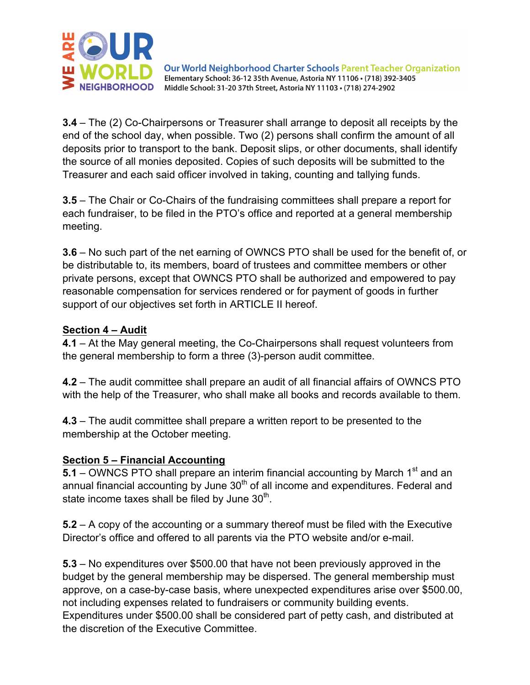

**3.4** – The (2) Co-Chairpersons or Treasurer shall arrange to deposit all receipts by the end of the school day, when possible. Two (2) persons shall confirm the amount of all deposits prior to transport to the bank. Deposit slips, or other documents, shall identify the source of all monies deposited. Copies of such deposits will be submitted to the Treasurer and each said officer involved in taking, counting and tallying funds.

**3.5** – The Chair or Co-Chairs of the fundraising committees shall prepare a report for each fundraiser, to be filed in the PTO's office and reported at a general membership meeting.

**3.6** – No such part of the net earning of OWNCS PTO shall be used for the benefit of, or be distributable to, its members, board of trustees and committee members or other private persons, except that OWNCS PTO shall be authorized and empowered to pay reasonable compensation for services rendered or for payment of goods in further support of our objectives set forth in ARTICLE II hereof.

#### **Section 4 – Audit**

**4.1** – At the May general meeting, the Co-Chairpersons shall request volunteers from the general membership to form a three (3)-person audit committee.

**4.2** – The audit committee shall prepare an audit of all financial affairs of OWNCS PTO with the help of the Treasurer, who shall make all books and records available to them.

**4.3** – The audit committee shall prepare a written report to be presented to the membership at the October meeting.

#### **Section 5 – Financial Accounting**

**5.1** – OWNCS PTO shall prepare an interim financial accounting by March 1<sup>st</sup> and an annual financial accounting by June  $30<sup>th</sup>$  of all income and expenditures. Federal and state income taxes shall be filed by June  $30<sup>th</sup>$ .

**5.2** – A copy of the accounting or a summary thereof must be filed with the Executive Director's office and offered to all parents via the PTO website and/or e-mail.

**5.3** – No expenditures over \$500.00 that have not been previously approved in the budget by the general membership may be dispersed. The general membership must approve, on a case-by-case basis, where unexpected expenditures arise over \$500.00, not including expenses related to fundraisers or community building events. Expenditures under \$500.00 shall be considered part of petty cash, and distributed at the discretion of the Executive Committee.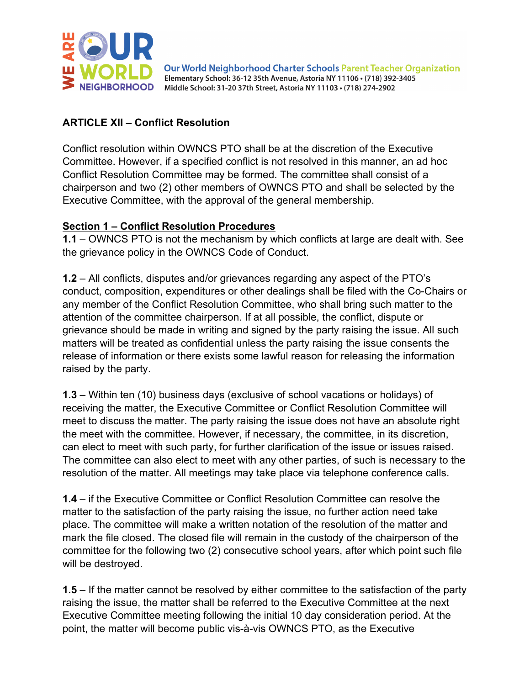

### **ARTICLE XII – Conflict Resolution**

Conflict resolution within OWNCS PTO shall be at the discretion of the Executive Committee. However, if a specified conflict is not resolved in this manner, an ad hoc Conflict Resolution Committee may be formed. The committee shall consist of a chairperson and two (2) other members of OWNCS PTO and shall be selected by the Executive Committee, with the approval of the general membership.

#### **Section 1 – Conflict Resolution Procedures**

**1.1** – OWNCS PTO is not the mechanism by which conflicts at large are dealt with. See the grievance policy in the OWNCS Code of Conduct.

**1.2** – All conflicts, disputes and/or grievances regarding any aspect of the PTO's conduct, composition, expenditures or other dealings shall be filed with the Co-Chairs or any member of the Conflict Resolution Committee, who shall bring such matter to the attention of the committee chairperson. If at all possible, the conflict, dispute or grievance should be made in writing and signed by the party raising the issue. All such matters will be treated as confidential unless the party raising the issue consents the release of information or there exists some lawful reason for releasing the information raised by the party.

**1.3** – Within ten (10) business days (exclusive of school vacations or holidays) of receiving the matter, the Executive Committee or Conflict Resolution Committee will meet to discuss the matter. The party raising the issue does not have an absolute right the meet with the committee. However, if necessary, the committee, in its discretion, can elect to meet with such party, for further clarification of the issue or issues raised. The committee can also elect to meet with any other parties, of such is necessary to the resolution of the matter. All meetings may take place via telephone conference calls.

**1.4** – if the Executive Committee or Conflict Resolution Committee can resolve the matter to the satisfaction of the party raising the issue, no further action need take place. The committee will make a written notation of the resolution of the matter and mark the file closed. The closed file will remain in the custody of the chairperson of the committee for the following two (2) consecutive school years, after which point such file will be destroyed.

**1.5** – If the matter cannot be resolved by either committee to the satisfaction of the party raising the issue, the matter shall be referred to the Executive Committee at the next Executive Committee meeting following the initial 10 day consideration period. At the point, the matter will become public vis-à-vis OWNCS PTO, as the Executive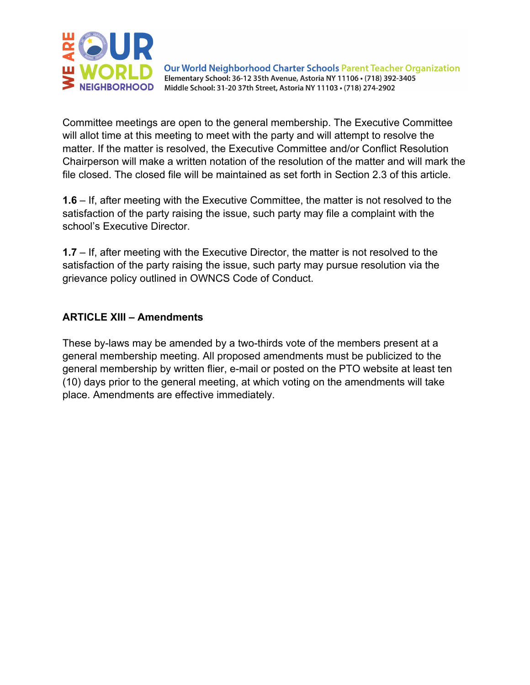

Committee meetings are open to the general membership. The Executive Committee will allot time at this meeting to meet with the party and will attempt to resolve the matter. If the matter is resolved, the Executive Committee and/or Conflict Resolution Chairperson will make a written notation of the resolution of the matter and will mark the file closed. The closed file will be maintained as set forth in Section 2.3 of this article.

**1.6** – If, after meeting with the Executive Committee, the matter is not resolved to the satisfaction of the party raising the issue, such party may file a complaint with the school's Executive Director.

**1.7** – If, after meeting with the Executive Director, the matter is not resolved to the satisfaction of the party raising the issue, such party may pursue resolution via the grievance policy outlined in OWNCS Code of Conduct.

#### **ARTICLE XIII – Amendments**

These by-laws may be amended by a two-thirds vote of the members present at a general membership meeting. All proposed amendments must be publicized to the general membership by written flier, e-mail or posted on the PTO website at least ten (10) days prior to the general meeting, at which voting on the amendments will take place. Amendments are effective immediately.